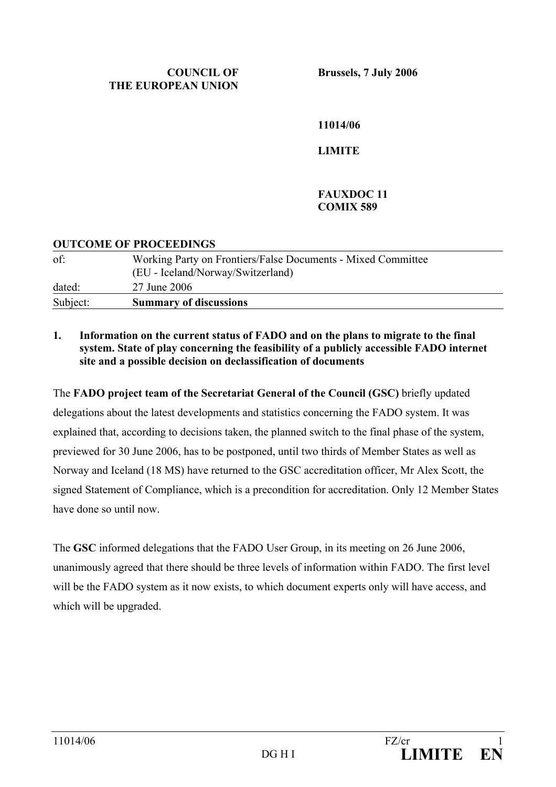### **COUNCIL OF THE EUROPEAN UNION**

**Brussels, 7 July 2006** 

**11014/06** 

**LIMITE** 

# **FAUXDOC 11 COMIX 589**

## **OUTCOME OF PROCEEDINGS**

| of:      | Working Party on Frontiers/False Documents - Mixed Committee<br>(EU - Iceland/Norway/Switzerland) |
|----------|---------------------------------------------------------------------------------------------------|
| dated:   | 27 June 2006                                                                                      |
| Subject: | <b>Summary of discussions</b>                                                                     |

### **1. Information on the current status of FADO and on the plans to migrate to the final system. State of play concerning the feasibility of a publicly accessible FADO internet site and a possible decision on declassification of documents**

The **FADO project team of the Secretariat General of the Council (GSC)** briefly updated delegations about the latest developments and statistics concerning the FADO system. It was explained that, according to decisions taken, the planned switch to the final phase of the system, previewed for 30 June 2006, has to be postponed, until two thirds of Member States as well as Norway and Iceland (18 MS) have returned to the GSC accreditation officer, Mr Alex Scott, the signed Statement of Compliance, which is a precondition for accreditation. Only 12 Member States have done so until now.

The **GSC** informed delegations that the FADO User Group, in its meeting on 26 June 2006, unanimously agreed that there should be three levels of information within FADO. The first level will be the FADO system as it now exists, to which document experts only will have access, and which will be upgraded.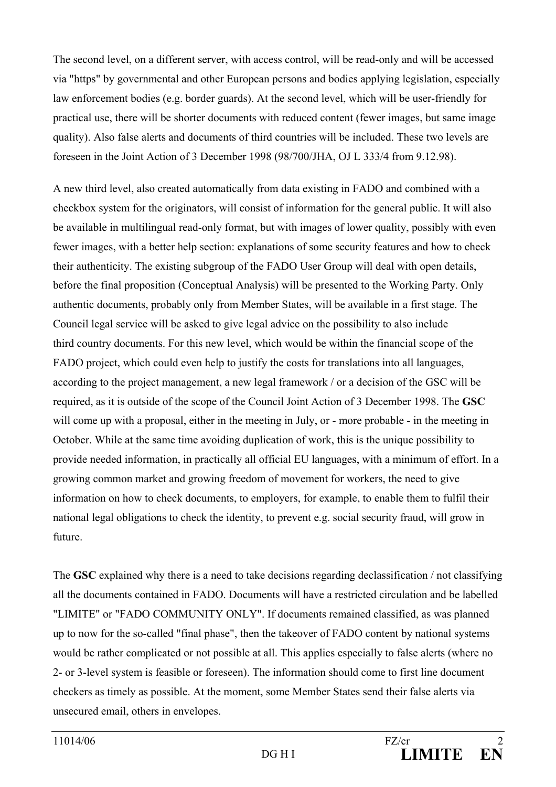The second level, on a different server, with access control, will be read-only and will be accessed via "https" by governmental and other European persons and bodies applying legislation, especially law enforcement bodies (e.g. border guards). At the second level, which will be user-friendly for practical use, there will be shorter documents with reduced content (fewer images, but same image quality). Also false alerts and documents of third countries will be included. These two levels are foreseen in the Joint Action of 3 December 1998 (98/700/JHA, OJ L 333/4 from 9.12.98).

A new third level, also created automatically from data existing in FADO and combined with a checkbox system for the originators, will consist of information for the general public. It will also be available in multilingual read-only format, but with images of lower quality, possibly with even fewer images, with a better help section: explanations of some security features and how to check their authenticity. The existing subgroup of the FADO User Group will deal with open details, before the final proposition (Conceptual Analysis) will be presented to the Working Party. Only authentic documents, probably only from Member States, will be available in a first stage. The Council legal service will be asked to give legal advice on the possibility to also include third country documents. For this new level, which would be within the financial scope of the FADO project, which could even help to justify the costs for translations into all languages, according to the project management, a new legal framework / or a decision of the GSC will be required, as it is outside of the scope of the Council Joint Action of 3 December 1998. The **GSC**  will come up with a proposal, either in the meeting in July, or - more probable - in the meeting in October. While at the same time avoiding duplication of work, this is the unique possibility to provide needed information, in practically all official EU languages, with a minimum of effort. In a growing common market and growing freedom of movement for workers, the need to give information on how to check documents, to employers, for example, to enable them to fulfil their national legal obligations to check the identity, to prevent e.g. social security fraud, will grow in future.

The **GSC** explained why there is a need to take decisions regarding declassification / not classifying all the documents contained in FADO. Documents will have a restricted circulation and be labelled "LIMITE" or "FADO COMMUNITY ONLY". If documents remained classified, as was planned up to now for the so-called "final phase", then the takeover of FADO content by national systems would be rather complicated or not possible at all. This applies especially to false alerts (where no 2- or 3-level system is feasible or foreseen). The information should come to first line document checkers as timely as possible. At the moment, some Member States send their false alerts via unsecured email, others in envelopes.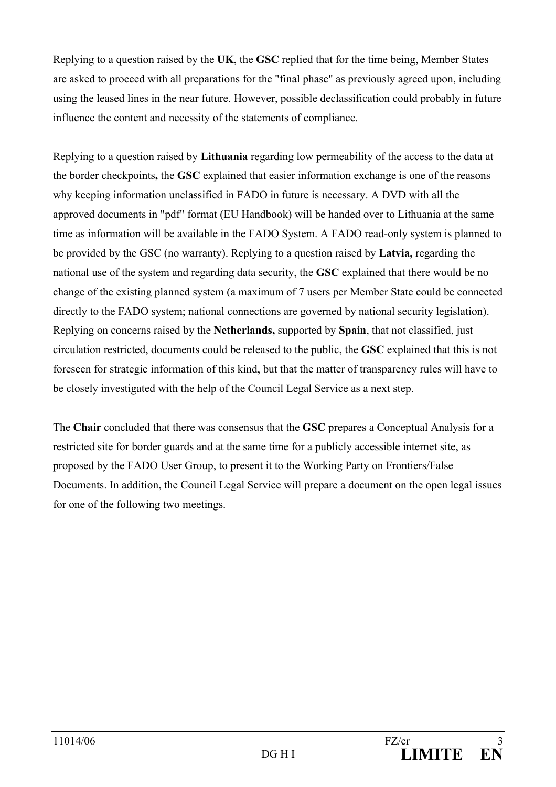Replying to a question raised by the **UK**, the **GSC** replied that for the time being, Member States are asked to proceed with all preparations for the "final phase" as previously agreed upon, including using the leased lines in the near future. However, possible declassification could probably in future influence the content and necessity of the statements of compliance.

Replying to a question raised by **Lithuania** regarding low permeability of the access to the data at the border checkpoints**,** the **GSC** explained that easier information exchange is one of the reasons why keeping information unclassified in FADO in future is necessary. A DVD with all the approved documents in "pdf" format (EU Handbook) will be handed over to Lithuania at the same time as information will be available in the FADO System. A FADO read-only system is planned to be provided by the GSC (no warranty). Replying to a question raised by **Latvia,** regarding the national use of the system and regarding data security, the **GSC** explained that there would be no change of the existing planned system (a maximum of 7 users per Member State could be connected directly to the FADO system; national connections are governed by national security legislation). Replying on concerns raised by the **Netherlands,** supported by **Spain**, that not classified, just circulation restricted, documents could be released to the public, the **GSC** explained that this is not foreseen for strategic information of this kind, but that the matter of transparency rules will have to be closely investigated with the help of the Council Legal Service as a next step.

The **Chair** concluded that there was consensus that the **GSC** prepares a Conceptual Analysis for a restricted site for border guards and at the same time for a publicly accessible internet site, as proposed by the FADO User Group, to present it to the Working Party on Frontiers/False Documents. In addition, the Council Legal Service will prepare a document on the open legal issues for one of the following two meetings.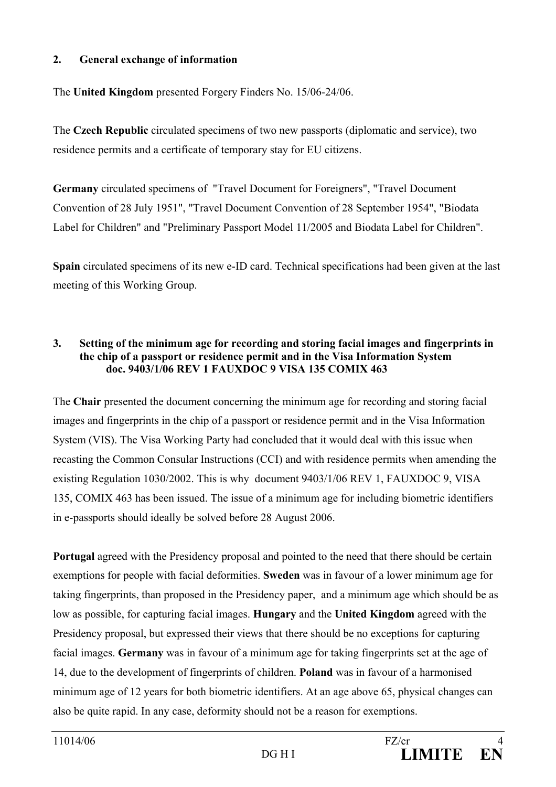# **2. General exchange of information**

The **United Kingdom** presented Forgery Finders No. 15/06-24/06.

The **Czech Republic** circulated specimens of two new passports (diplomatic and service), two residence permits and a certificate of temporary stay for EU citizens.

**Germany** circulated specimens of "Travel Document for Foreigners", "Travel Document Convention of 28 July 1951", "Travel Document Convention of 28 September 1954", "Biodata Label for Children" and "Preliminary Passport Model 11/2005 and Biodata Label for Children".

**Spain** circulated specimens of its new e-ID card. Technical specifications had been given at the last meeting of this Working Group.

## **3. Setting of the minimum age for recording and storing facial images and fingerprints in the chip of a passport or residence permit and in the Visa Information System doc. 9403/1/06 REV 1 FAUXDOC 9 VISA 135 COMIX 463**

The **Chair** presented the document concerning the minimum age for recording and storing facial images and fingerprints in the chip of a passport or residence permit and in the Visa Information System (VIS). The Visa Working Party had concluded that it would deal with this issue when recasting the Common Consular Instructions (CCI) and with residence permits when amending the existing Regulation 1030/2002. This is why document 9403/1/06 REV 1, FAUXDOC 9, VISA 135, COMIX 463 has been issued. The issue of a minimum age for including biometric identifiers in e-passports should ideally be solved before 28 August 2006.

**Portugal** agreed with the Presidency proposal and pointed to the need that there should be certain exemptions for people with facial deformities. **Sweden** was in favour of a lower minimum age for taking fingerprints, than proposed in the Presidency paper, and a minimum age which should be as low as possible, for capturing facial images. **Hungary** and the **United Kingdom** agreed with the Presidency proposal, but expressed their views that there should be no exceptions for capturing facial images. **Germany** was in favour of a minimum age for taking fingerprints set at the age of 14, due to the development of fingerprints of children. **Poland** was in favour of a harmonised minimum age of 12 years for both biometric identifiers. At an age above 65, physical changes can also be quite rapid. In any case, deformity should not be a reason for exemptions.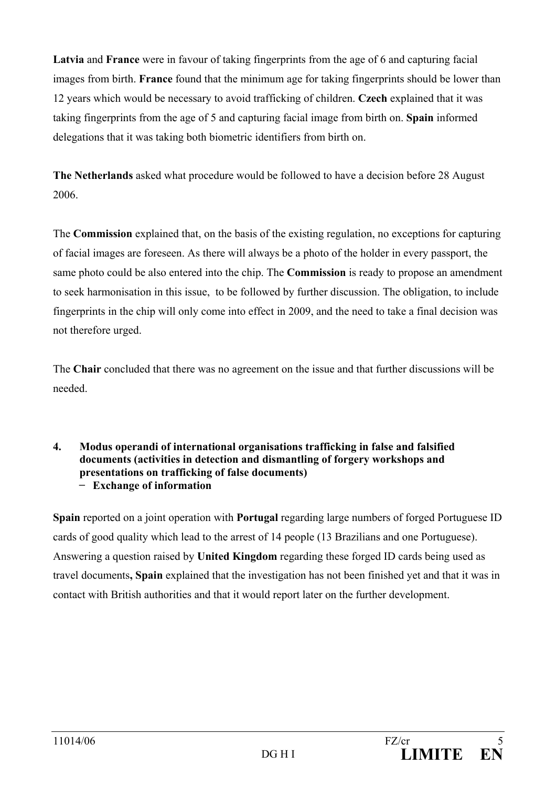**Latvia** and **France** were in favour of taking fingerprints from the age of 6 and capturing facial images from birth. **France** found that the minimum age for taking fingerprints should be lower than 12 years which would be necessary to avoid trafficking of children. **Czech** explained that it was taking fingerprints from the age of 5 and capturing facial image from birth on. **Spain** informed delegations that it was taking both biometric identifiers from birth on.

**The Netherlands** asked what procedure would be followed to have a decision before 28 August 2006.

The **Commission** explained that, on the basis of the existing regulation, no exceptions for capturing of facial images are foreseen. As there will always be a photo of the holder in every passport, the same photo could be also entered into the chip. The **Commission** is ready to propose an amendment to seek harmonisation in this issue, to be followed by further discussion. The obligation, to include fingerprints in the chip will only come into effect in 2009, and the need to take a final decision was not therefore urged.

The **Chair** concluded that there was no agreement on the issue and that further discussions will be needed.

### **4. Modus operandi of international organisations trafficking in false and falsified documents (activities in detection and dismantling of forgery workshops and presentations on trafficking of false documents) − Exchange of information**

**Spain** reported on a joint operation with **Portugal** regarding large numbers of forged Portuguese ID cards of good quality which lead to the arrest of 14 people (13 Brazilians and one Portuguese). Answering a question raised by **United Kingdom** regarding these forged ID cards being used as travel documents**, Spain** explained that the investigation has not been finished yet and that it was in contact with British authorities and that it would report later on the further development.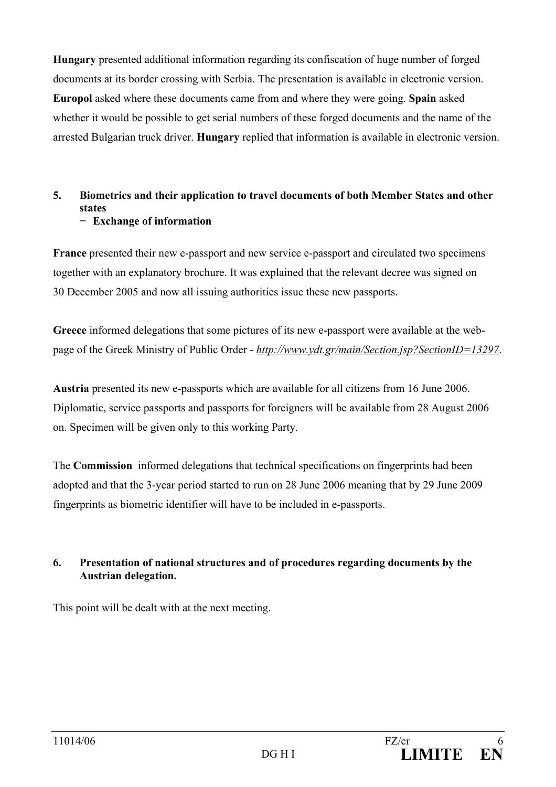**Hungary** presented additional information regarding its confiscation of huge number of forged documents at its border crossing with Serbia. The presentation is available in electronic version. **Europol** asked where these documents came from and where they were going. **Spain** asked whether it would be possible to get serial numbers of these forged documents and the name of the arrested Bulgarian truck driver. **Hungary** replied that information is available in electronic version.

#### **5. Biometrics and their application to travel documents of both Member States and other states − Exchange of information**

**France** presented their new e-passport and new service e-passport and circulated two specimens together with an explanatory brochure. It was explained that the relevant decree was signed on 30 December 2005 and now all issuing authorities issue these new passports.

**Greece** informed delegations that some pictures of its new e-passport were available at the webpage of the Greek Ministry of Public Order - *http://www.ydt.gr/main/Section.jsp?SectionID=13297*.

**Austria** presented its new e-passports which are available for all citizens from 16 June 2006. Diplomatic, service passports and passports for foreigners will be available from 28 August 2006 on. Specimen will be given only to this working Party.

The **Commission** informed delegations that technical specifications on fingerprints had been adopted and that the 3-year period started to run on 28 June 2006 meaning that by 29 June 2009 fingerprints as biometric identifier will have to be included in e-passports.

# **6. Presentation of national structures and of procedures regarding documents by the Austrian delegation.**

This point will be dealt with at the next meeting.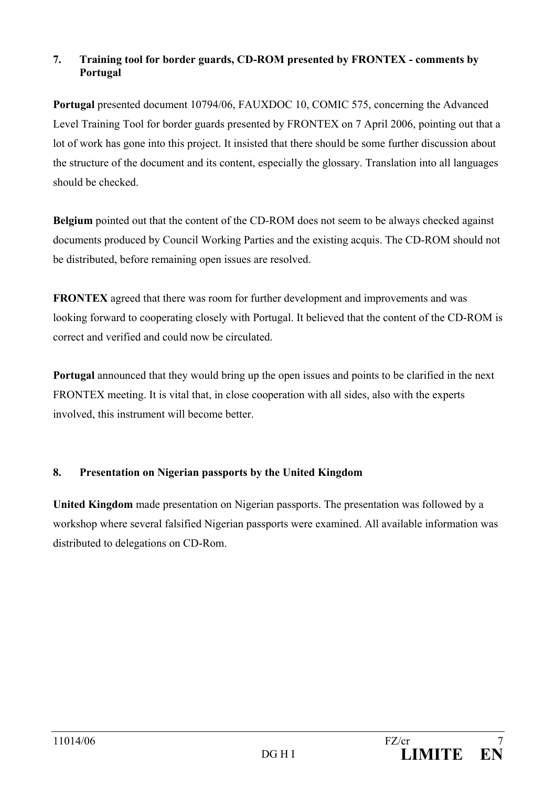# **7. Training tool for border guards, CD-ROM presented by FRONTEX - comments by Portugal**

**Portugal** presented document 10794/06, FAUXDOC 10, COMIC 575, concerning the Advanced Level Training Tool for border guards presented by FRONTEX on 7 April 2006, pointing out that a lot of work has gone into this project. It insisted that there should be some further discussion about the structure of the document and its content, especially the glossary. Translation into all languages should be checked.

**Belgium** pointed out that the content of the CD-ROM does not seem to be always checked against documents produced by Council Working Parties and the existing acquis. The CD-ROM should not be distributed, before remaining open issues are resolved.

**FRONTEX** agreed that there was room for further development and improvements and was looking forward to cooperating closely with Portugal. It believed that the content of the CD-ROM is correct and verified and could now be circulated.

**Portugal** announced that they would bring up the open issues and points to be clarified in the next FRONTEX meeting. It is vital that, in close cooperation with all sides, also with the experts involved, this instrument will become better.

# **8. Presentation on Nigerian passports by the United Kingdom**

**United Kingdom** made presentation on Nigerian passports. The presentation was followed by a workshop where several falsified Nigerian passports were examined. All available information was distributed to delegations on CD-Rom.